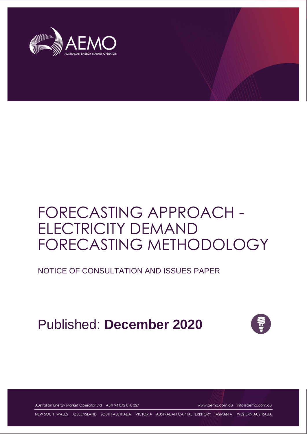

# FORECASTING APPROACH - ELECTRICITY DEMAND FORECASTING METHODOLOGY

NOTICE OF CONSULTATION AND ISSUES PAPER

Published: **December 2020**



Australian Energy Market Operator Ltd ABN 94 072 010 327 [www.aemo.com.au](http://www.aemo.com.au/) [info@aemo.com.au](mailto:info@aemo.com.au)

NEW SOUTH WALES QUEENSLAND SOUTH AUSTRALIA VICTORIA AUSTRALIAN CAPITAL TERRITORY TASMANIA WESTERN AUSTRALIA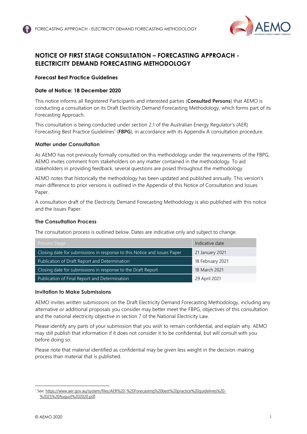

## <span id="page-1-0"></span>**NOTICE OF FIRST STAGE CONSULTATION – FORECASTING APPROACH - ELECTRICITY DEMAND FORECASTING METHODOLOGY**

### **Forecast Best Practice Guidelines**

### **Date of Notice: 18 December 2020**

This notice informs all Registered Participants and interested parties (**Consulted Persons**) that AEMO is conducting a consultation on its Draft Electricity Demand Forecasting Methodology, which forms part of its Forecasting Approach.

This consultation is being conducted under section 2.1 of the Australian Energy Regulator's (AER) Forecasting Best Practice Guidelines<sup>1</sup> (FBPG), in accordance with its Appendix A consultation procedure.

### **Matter under Consultation**

As AEMO has not previously formally consulted on this methodology under the requirements of the FBPG, AEMO invites comment from stakeholders on any matter contained in the methodology. To aid stakeholders in providing feedback, several questions are posed throughout the methodology.

AEMO notes that historically the methodology has been updated and published annually. This version's main difference to prior versions is outlined in the Appendix of this Notice of Consultation and Issues Paper.

A consultation draft of the Electricity Demand Forecasting Methodology is also published with this notice and the Issues Paper.

### **The Consultation Process**

The consultation process is outlined below. Dates are indicative only and subject to change.

| Process Stage                                                            | Indicative date  |
|--------------------------------------------------------------------------|------------------|
| Closing date for submissions in response to this Notice and Issues Paper | 21 January 2021  |
| Publication of Draft Report and Determination                            | 18 February 2021 |
| Closing date for submissions in response to the Draft Report             | 18 March 2021    |
| Publication of Final Report and Determination                            | 29 April 2021    |

### **Invitation to Make Submissions**

AEMO invites written submissions on the Draft Electricity Demand Forecasting Methodology, including any alternative or additional proposals you consider may better meet the FBPG, objectives of this consultation and the national electricity objective in section 7 of the National Electricity Law.

Please identify any parts of your submission that you wish to remain confidential, and explain why. AEMO may still publish that information if it does not consider it to be confidential, but will consult with you before doing so.

Please note that material identified as confidential may be given less weight in the decision-making process than material that is published.

<sup>1</sup> See[: https://www.aer.gov.au/system/files/AER%20-%20Forecasting%20best%20practice%20guidelines%20-](https://www.aer.gov.au/system/files/AER%20-%20Forecasting%20best%20practice%20guidelines%20-%2025%20August%202020.pdf) [%2025%20August%202020.pdf.](https://www.aer.gov.au/system/files/AER%20-%20Forecasting%20best%20practice%20guidelines%20-%2025%20August%202020.pdf)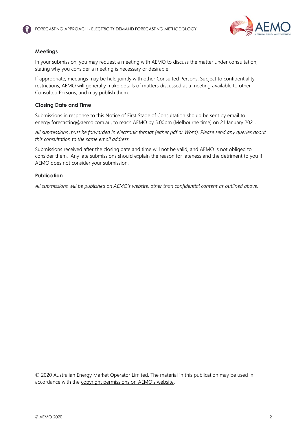

### **Meetings**

In your submission, you may request a meeting with AEMO to discuss the matter under consultation, stating why you consider a meeting is necessary or desirable.

If appropriate, meetings may be held jointly with other Consulted Persons. Subject to confidentiality restrictions, AEMO will generally make details of matters discussed at a meeting available to other Consulted Persons, and may publish them.

### **Closing Date and Time**

Submissions in response to this Notice of First Stage of Consultation should be sent by email to [energy.forecasting@aemo.com.au,](mailto:energy.forecasting@aemo.com.au) to reach AEMO by 5.00pm (Melbourne time) on 21 January 2021.

*All submissions must be forwarded in electronic format (either pdf or Word). Please send any queries about this consultation to the same email address.* 

Submissions received after the closing date and time will not be valid, and AEMO is not obliged to consider them. Any late submissions should explain the reason for lateness and the detriment to you if AEMO does not consider your submission.

### **Publication**

*All submissions will be published on AEMO's website, other than confidential content as outlined above.* 

© 2020 Australian Energy Market Operator Limited. The material in this publication may be used in accordance with the [copyright permissions on AEMO's website](http://aemo.com.au/Privacy_and_Legal_Notices/Copyright_Permissions_Notice).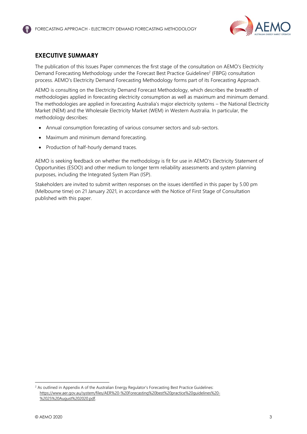

### <span id="page-3-0"></span>**EXECUTIVE SUMMARY**

The publication of this Issues Paper commences the first stage of the consultation on AEMO's Electricity Demand Forecasting Methodology under the Forecast Best Practice Guidelines<sup>2</sup> (FBPG) consultation process. AEMO's Electricity Demand Forecasting Methodology forms part of its Forecasting Approach.

AEMO is consulting on the Electricity Demand Forecast Methodology, which describes the breadth of methodologies applied in forecasting electricity consumption as well as maximum and minimum demand. The methodologies are applied in forecasting Australia's major electricity systems – the National Electricity Market (NEM) and the Wholesale Electricity Market (WEM) in Western Australia. In particular, the methodology describes:

- Annual consumption forecasting of various consumer sectors and sub-sectors.
- Maximum and minimum demand forecasting.
- Production of half-hourly demand traces.

AEMO is seeking feedback on whether the methodology is fit for use in AEMO's Electricity Statement of Opportunities (ESOO) and other medium to longer term reliability assessments and system planning purposes, including the Integrated System Plan (ISP).

Stakeholders are invited to submit written responses on the issues identified in this paper by 5.00 pm (Melbourne time) on 21 January 2021, in accordance with the Notice of First Stage of Consultation published with this paper.

 $<sup>2</sup>$  As outlined in Appendix A of the Australian Energy Regulator's Forecasting Best Practice Guidelines:</sup> [https://www.aer.gov.au/system/files/AER%20-%20Forecasting%20best%20practice%20guidelines%20-](https://www.aer.gov.au/system/files/AER%20-%20Forecasting%20best%20practice%20guidelines%20-%2025%20August%202020.pdf) [%2025%20August%202020.pdf.](https://www.aer.gov.au/system/files/AER%20-%20Forecasting%20best%20practice%20guidelines%20-%2025%20August%202020.pdf)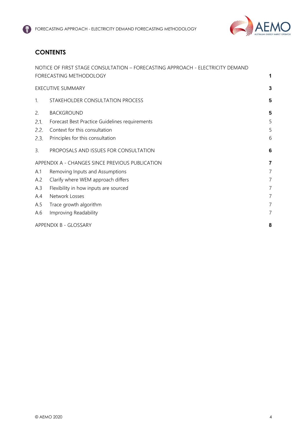

# **CONTENTS**

| A.6            | Improving Readability<br>APPENDIX B - GLOSSARY                                                            |                     |
|----------------|-----------------------------------------------------------------------------------------------------------|---------------------|
| A.5            | Trace growth algorithm                                                                                    | 7<br>$\overline{7}$ |
| A.4            | Network Losses                                                                                            | $\overline{7}$      |
| A.3            | Flexibility in how inputs are sourced                                                                     | $\overline{7}$      |
| A.2            | Clarify where WEM approach differs                                                                        | $\overline{7}$      |
| A.1            | Removing Inputs and Assumptions                                                                           | 7                   |
|                | APPENDIX A - CHANGES SINCE PREVIOUS PUBLICATION                                                           | 7                   |
| 3.             | PROPOSALS AND ISSUES FOR CONSULTATION                                                                     | 6                   |
| 2.3.           | Principles for this consultation                                                                          | 6                   |
| 2.2.           | Context for this consultation                                                                             | 5                   |
| 2.1.           | Forecast Best Practice Guidelines requirements                                                            | 5                   |
| 2.             | <b>BACKGROUND</b>                                                                                         | 5                   |
| $\mathbf{1}$ . | STAKEHOLDER CONSULTATION PROCESS                                                                          | 5                   |
|                | <b>EXECUTIVE SUMMARY</b>                                                                                  | 3                   |
|                | NOTICE OF FIRST STAGE CONSULTATION - FORECASTING APPROACH - ELECTRICITY DEMAND<br>FORECASTING METHODOLOGY | 1                   |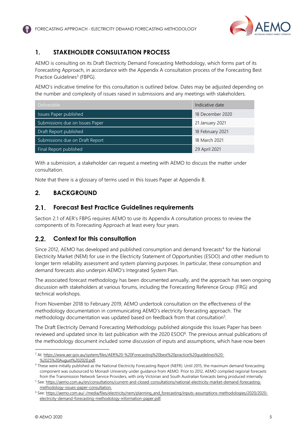

# <span id="page-5-0"></span>**1. STAKEHOLDER CONSULTATION PROCESS**

AEMO is consulting on its Draft Electricity Demand Forecasting Methodology, which forms part of its Forecasting Approach, in accordance with the Appendix A consultation process of the Forecasting Best Practice Guidelines<sup>3</sup> (FBPG).

AEMO's indicative timeline for this consultation is outlined below. Dates may be adjusted depending on the number and complexity of issues raised in submissions and any meetings with stakeholders.

| Deliverable                     | Indicative date  |
|---------------------------------|------------------|
| Issues Paper published          | 18 December 2020 |
| Submissions due on Issues Paper | 21 January 2021  |
| Draft Report published          | 18 February 2021 |
| Submissions due on Draft Report | 18 March 2021    |
| Final Report published          | 29 April 2021    |

With a submission, a stakeholder can request a meeting with AEMO to discuss the matter under consultation.

Note that there is a glossary of terms used in this Issues Paper at Appendix B.

# <span id="page-5-1"></span>**2. BACKGROUND**

#### <span id="page-5-2"></span> $2.1$ **Forecast Best Practice Guidelines requirements**

Section 2.1 of AER's FBPG requires AEMO to use its Appendix A consultation process to review the components of its Forecasting Approach at least every four years.

#### <span id="page-5-3"></span> $2.2.$ **Context for this consultation**

Since 2012, AEMO has developed and published consumption and demand forecasts<sup>4</sup> for the National Electricity Market (NEM) for use in the Electricity Statement of Opportunities (ESOO) and other medium to longer term reliability assessment and system planning purposes. In particular, these consumption and demand forecasts also underpin AEMO's Integrated System Plan.

The associated forecast methodology has been documented annually, and the approach has seen ongoing discussion with stakeholders at various forums, including the Forecasting Reference Group (FRG) and technical workshops.

From November 2018 to February 2019, AEMO undertook consultation on the effectiveness of the methodology documentation in communicating AEMO's electricity forecasting approach. The methodology documentation was updated based on feedback from that consultation<sup>5</sup>.

The Draft Electricity Demand Forecasting Methodology published alongside this Issues Paper has been reviewed and updated since its last publication with the 2020 ESOO<sup>6</sup>. The previous annual publications of the methodology document included some discussion of inputs and assumptions, which have now been

<sup>3</sup> At[: https://www.aer.gov.au/system/files/AER%20-%20Forecasting%20best%20practice%20guidelines%20-](https://www.aer.gov.au/system/files/AER%20-%20Forecasting%20best%20practice%20guidelines%20-%2025%20August%202020.pdf) [%2025%20August%202020.pdf.](https://www.aer.gov.au/system/files/AER%20-%20Forecasting%20best%20practice%20guidelines%20-%2025%20August%202020.pdf)

<sup>&</sup>lt;sup>4</sup> These were initially published as the National Electricity Forecasting Report (NEFR). Until 2015, the maximum demand forecasting component was outsourced to Monash University under guidance from AEMO. Prior to 2012, AEMO compiled regional forecasts from the Transmission Network Service Providers, with only Victorian and South Australian forecasts being produced internally.

<sup>5</sup> See: [https://aemo.com.au/en/consultations/current-and-closed-consultations/national-electricity-market-demand-forecasting](https://aemo.com.au/en/consultations/current-and-closed-consultations/national-electricity-market-demand-forecasting-methodology-issues-paper-consultation)[methodology-issues-paper-consultation.](https://aemo.com.au/en/consultations/current-and-closed-consultations/national-electricity-market-demand-forecasting-methodology-issues-paper-consultation)

<sup>&</sup>lt;sup>6</sup> See: [https://aemo.com.au/-/media/files/electricity/nem/planning\\_and\\_forecasting/inputs-assumptions-methodologies/2020/2020](https://aemo.com.au/-/media/files/electricity/nem/planning_and_forecasting/inputs-assumptions-methodologies/2020/2020-electricity-demand-forecasting-methodology-information-paper.pdf) [electricity-demand-forecasting-methodology-information-paper.pdf.](https://aemo.com.au/-/media/files/electricity/nem/planning_and_forecasting/inputs-assumptions-methodologies/2020/2020-electricity-demand-forecasting-methodology-information-paper.pdf)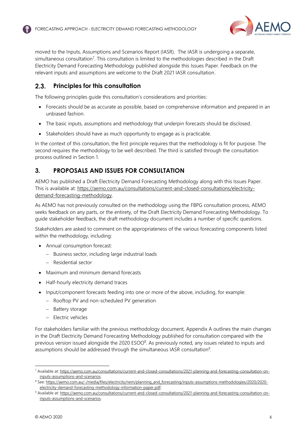

moved to the Inputs, Assumptions and Scenarios Report (IASR). The IASR is undergoing a separate, simultaneous consultation<sup>7</sup>. This consultation is limited to the methodologies described in the Draft Electricity Demand Forecasting Methodology published alongside this Issues Paper. Feedback on the relevant inputs and assumptions are welcome to the Draft 2021 IASR consultation.

#### <span id="page-6-0"></span> $2.3.$ **Principles for this consultation**

The following principles guide this consultation's considerations and priorities:

- Forecasts should be as accurate as possible, based on comprehensive information and prepared in an unbiased fashion.
- The basic inputs, assumptions and methodology that underpin forecasts should be disclosed.
- Stakeholders should have as much opportunity to engage as is practicable.

In the context of this consultation, the first principle requires that the methodology is fit for purpose. The second requires the methodology to be well described. The third is satisfied through the consultation process outlined in Section 1.

# <span id="page-6-1"></span>**3. PROPOSALS AND ISSUES FOR CONSULTATION**

AEMO has published a Draft Electricity Demand Forecasting Methodology along with this Issues Paper. This is available at: [https://aemo.com.au/consultations/current-and-closed-consultations/electricity](https://aemo.com.au/consultations/current-and-closed-consultations/electricity-demand-forecasting-methodology)[demand-forecasting-methodology.](https://aemo.com.au/consultations/current-and-closed-consultations/electricity-demand-forecasting-methodology)

As AEMO has not previously consulted on the methodology using the FBPG consultation process, AEMO seeks feedback on any parts, or the entirety, of the Draft Electricity Demand Forecasting Methodology. To guide stakeholder feedback, the draft methodology document includes a number of specific questions.

Stakeholders are asked to comment on the appropriateness of the various forecasting components listed within the methodology, including:

- Annual consumption forecast:
	- − Business sector, including large industrial loads
	- − Residential sector
- Maximum and minimum demand forecasts
- Half-hourly electricity demand traces
- Input/component forecasts feeding into one or more of the above, including, for example:
	- − Rooftop PV and non-scheduled PV generation
	- − Battery storage
	- − Electric vehicles

For stakeholders familiar with the previous methodology document, Appendix A outlines the main changes in the Draft Electricity Demand Forecasting Methodology published for consultation compared with the previous version issued alongside the 2020 ESOO<sup>8</sup>. As previously noted, any issues related to inputs and assumptions should be addressed through the simultaneous IASR consultation<sup>9</sup>.

<sup>7</sup> Available at[: https://aemo.com.au/consultations/current-and-closed-consultations/2021-planning-and-forecasting-consultation-on](https://aemo.com.au/consultations/current-and-closed-consultations/2021-planning-and-forecasting-consultation-on-inputs-assumptions-and-scenarios)[inputs-assumptions-and-scenarios.](https://aemo.com.au/consultations/current-and-closed-consultations/2021-planning-and-forecasting-consultation-on-inputs-assumptions-and-scenarios)

<sup>&</sup>lt;sup>8</sup> See: [https://aemo.com.au/-/media/files/electricity/nem/planning\\_and\\_forecasting/inputs-assumptions-methodologies/2020/2020](https://aemo.com.au/-/media/files/electricity/nem/planning_and_forecasting/inputs-assumptions-methodologies/2020/2020-electricity-demand-forecasting-methodology-information-paper.pdf) [electricity-demand-forecasting-methodology-information-paper.pdf.](https://aemo.com.au/-/media/files/electricity/nem/planning_and_forecasting/inputs-assumptions-methodologies/2020/2020-electricity-demand-forecasting-methodology-information-paper.pdf)

<sup>9</sup> Available at[: https://aemo.com.au/consultations/current-and-closed-consultations/2021-planning-and-forecasting-consultation-on](https://aemo.com.au/consultations/current-and-closed-consultations/2021-planning-and-forecasting-consultation-on-inputs-assumptions-and-scenarios)[inputs-assumptions-and-scenarios.](https://aemo.com.au/consultations/current-and-closed-consultations/2021-planning-and-forecasting-consultation-on-inputs-assumptions-and-scenarios)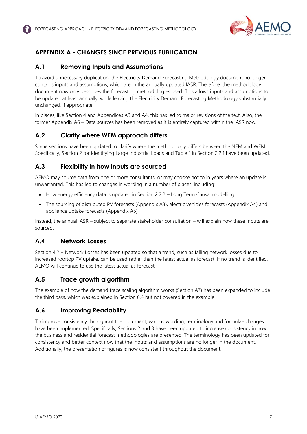

# <span id="page-7-0"></span>**APPENDIX A - CHANGES SINCE PREVIOUS PUBLICATION**

## <span id="page-7-1"></span>**A.1 Removing Inputs and Assumptions**

To avoid unnecessary duplication, the Electricity Demand Forecasting Methodology document no longer contains inputs and assumptions, which are in the annually updated IASR. Therefore, the methodology document now only describes the forecasting methodologies used. This allows inputs and assumptions to be updated at least annually, while leaving the Electricity Demand Forecasting Methodology substantially unchanged, if appropriate.

In places, like Section 4 and Appendices A3 and A4, this has led to major revisions of the text. Also, the former Appendix A6 – Data sources has been removed as it is entirely captured within the IASR now.

### <span id="page-7-2"></span>**A.2 Clarify where WEM approach differs**

Some sections have been updated to clarify where the methodology differs between the NEM and WEM. Specifically, Section 2 for identifying Large Industrial Loads and Table 1 in Section 2.2.1 have been updated.

# <span id="page-7-3"></span>**A.3 Flexibility in how inputs are sourced**

AEMO may source data from one or more consultants, or may choose not to in years where an update is unwarranted. This has led to changes in wording in a number of places, including:

- How energy efficiency data is updated in Section 2.2.2 Long Term Causal modelling
- The sourcing of distributed PV forecasts (Appendix A3), electric vehicles forecasts (Appendix A4) and appliance uptake forecasts (Appendix A5)

Instead, the annual IASR – subject to separate stakeholder consultation – will explain how these inputs are sourced.

### <span id="page-7-4"></span>**A.4 Network Losses**

Section 4.2 – Network Losses has been updated so that a trend, such as falling network losses due to increased rooftop PV uptake, can be used rather than the latest actual as forecast. If no trend is identified, AEMO will continue to use the latest actual as forecast.

### <span id="page-7-5"></span>**A.5 Trace growth algorithm**

The example of how the demand trace scaling algorithm works (Section A7) has been expanded to include the third pass, which was explained in Section 6.4 but not covered in the example.

### <span id="page-7-6"></span>**A.6 Improving Readability**

To improve consistency throughout the document, various wording, terminology and formulae changes have been implemented. Specifically, Sections 2 and 3 have been updated to increase consistency in how the business and residential forecast methodologies are presented. The terminology has been updated for consistency and better context now that the inputs and assumptions are no longer in the document. Additionally, the presentation of figures is now consistent throughout the document.